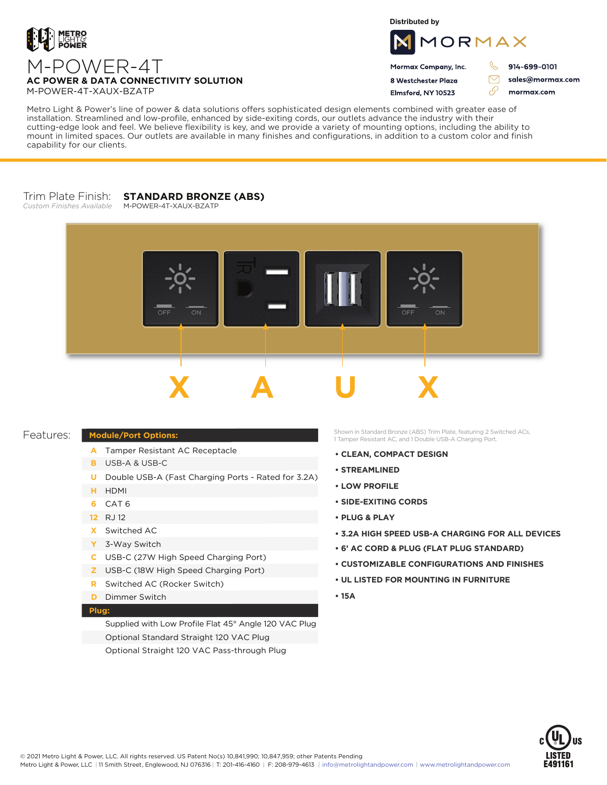

**Distributed by**



Mormax Company, Inc. 8 Westchester Plaza

Flmsford, NY 10523

914-699-0101

J.

 $\triangledown$ 

76

sales@mormax.com mormax.com

### **AC POWER & DATA CONNECTIVITY SOLUTION** M-POWER-4T-XAUX-BZATP

M-POWER-4T

Metro Light & Power's line of power & data solutions offers sophisticated design elements combined with greater ease of installation. Streamlined and low-profile, enhanced by side-exiting cords, our outlets advance the industry with their cutting-edge look and feel. We believe flexibility is key, and we provide a variety of mounting options, including the ability to mount in limited spaces. Our outlets are available in many finishes and configurations, in addition to a custom color and finish capability for our clients.

#### Trim Plate Finish: *Custom Finishes Available* **STANDARD BRONZE (ABS)**

M-POWER-4T-XAUX-BZATP



## Features:

# **Module/Port Options:**

- A Tamper Resistant AC Receptacle
- USB-A & USB-C **B**
- U Double USB-A (Fast Charging Ports Rated for 3.2A)
- HDMI **H**
- CAT 6 **6**
- 12 RJ 12
- Switched AC **X**
- 3-Way Switch **Y**
- USB-C (27W High Speed Charging Port) **C**
- USB-C (18W High Speed Charging Port) **Z**
- Switched AC (Rocker Switch) **R**
- **D** Dimmer Switch

# **Plug:**

Supplied with Low Profile Flat 45° Angle 120 VAC Plug Optional Standard Straight 120 VAC Plug Optional Straight 120 VAC Pass-through Plug

Shown in Standard Bronze (ABS) Trim Plate, featuring 2 Switched ACs, 1 Tamper Resistant AC, and 1 Double USB-A Charging Port.

- **CLEAN, COMPACT DESIGN**
- **STREAMLINED**
- **LOW PROFILE**
- **SIDE-EXITING CORDS**
- **PLUG & PLAY**
- **3.2A HIGH SPEED USB-A CHARGING FOR ALL DEVICES**
- **6' AC CORD & PLUG (FLAT PLUG STANDARD)**
- **CUSTOMIZABLE CONFIGURATIONS AND FINISHES**
- **UL LISTED FOR MOUNTING IN FURNITURE**
- **15A**